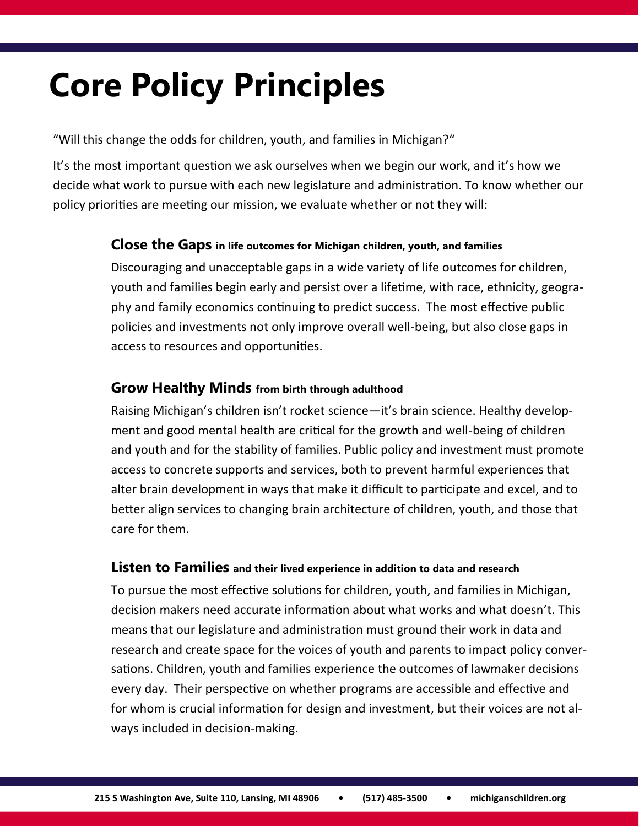# **Core Policy Principles**

"Will this change the odds for children, youth, and families in Michigan?"

It's the most important question we ask ourselves when we begin our work, and it's how we decide what work to pursue with each new legislature and administration. To know whether our policy priorities are meeting our mission, we evaluate whether or not they will:

## **Close the Gaps in life outcomes for Michigan children, youth, and families**

Discouraging and unacceptable gaps in a wide variety of life outcomes for children, youth and families begin early and persist over a lifetime, with race, ethnicity, geography and family economics continuing to predict success. The most effective public policies and investments not only improve overall well-being, but also close gaps in access to resources and opportunities.

## **Grow Healthy Minds from birth through adulthood**

Raising Michigan's children isn't rocket science—it's brain science. Healthy development and good mental health are critical for the growth and well-being of children and youth and for the stability of families. Public policy and investment must promote access to concrete supports and services, both to prevent harmful experiences that alter brain development in ways that make it difficult to participate and excel, and to better align services to changing brain architecture of children, youth, and those that care for them.

#### **Listen to Families and their lived experience in addition to data and research**

To pursue the most effective solutions for children, youth, and families in Michigan, decision makers need accurate information about what works and what doesn't. This means that our legislature and administration must ground their work in data and research and create space for the voices of youth and parents to impact policy conversations. Children, youth and families experience the outcomes of lawmaker decisions every day. Their perspective on whether programs are accessible and effective and for whom is crucial information for design and investment, but their voices are not always included in decision-making.